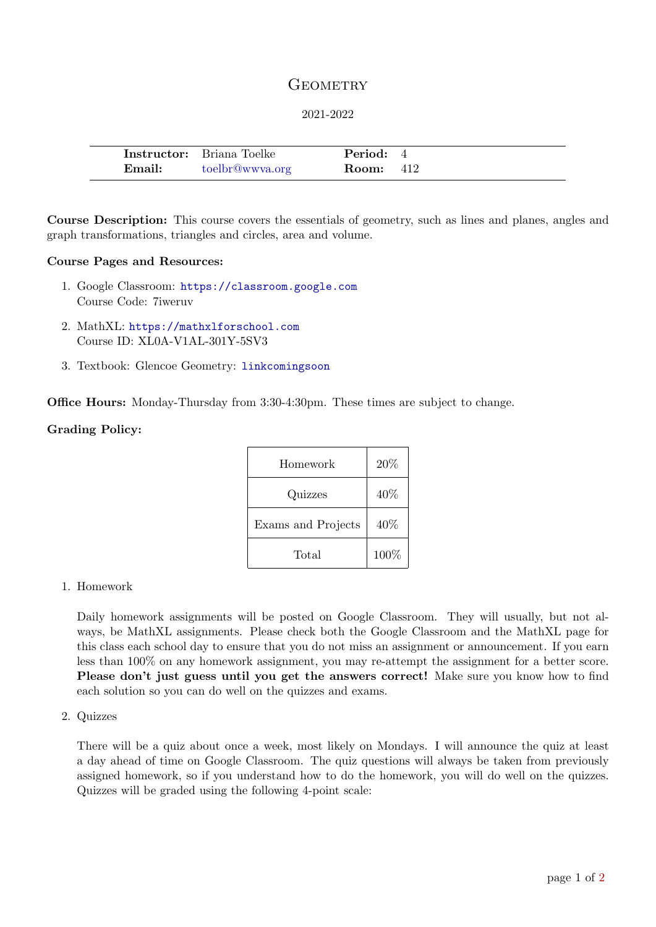# **GEOMETRY**

### 2021-2022

|        | <b>Instructor:</b> Briana Toelke | <b>Period:</b> 4 |  |
|--------|----------------------------------|------------------|--|
| Email: | toelbr@wwya.org                  | <b>Room:</b> 412 |  |

Course Description: This course covers the essentials of geometry, such as lines and planes, angles and graph transformations, triangles and circles, area and volume.

#### Course Pages and Resources:

- 1. Google Classroom: <https://classroom.google.com> Course Code: 7iweruv
- 2. MathXL: <https://mathxlforschool.com> Course ID: XL0A-V1AL-301Y-5SV3
- 3. Textbook: Glencoe Geometry: [linkcomingsoon](link coming soon)

Office Hours: Monday-Thursday from 3:30-4:30pm. These times are subject to change.

### Grading Policy:

| Homework           | 20%  |
|--------------------|------|
| Quizzes            | 40\% |
| Exams and Projects | 40\% |
| Total              | 100% |

### 1. Homework

Daily homework assignments will be posted on Google Classroom. They will usually, but not always, be MathXL assignments. Please check both the Google Classroom and the MathXL page for this class each school day to ensure that you do not miss an assignment or announcement. If you earn less than 100% on any homework assignment, you may re-attempt the assignment for a better score. Please don't just guess until you get the answers correct! Make sure you know how to find each solution so you can do well on the quizzes and exams.

2. Quizzes

There will be a quiz about once a week, most likely on Mondays. I will announce the quiz at least a day ahead of time on Google Classroom. The quiz questions will always be taken from previously assigned homework, so if you understand how to do the homework, you will do well on the quizzes. Quizzes will be graded using the following 4-point scale: